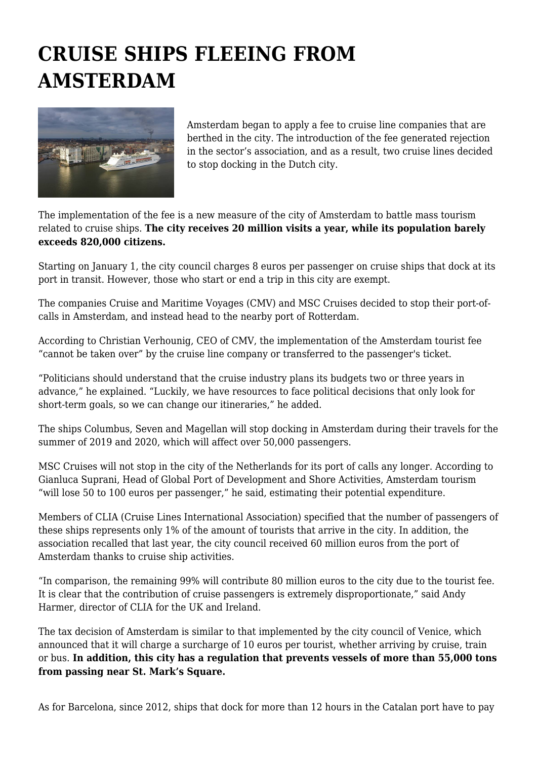## **CRUISE SHIPS FLEEING FROM AMSTERDAM**



Amsterdam began to apply a fee to cruise line companies that are berthed in the city. The introduction of the fee generated rejection in the sector's association, and as a result, two cruise lines decided to stop docking in the Dutch city.

The implementation of the fee is a new measure of the city of Amsterdam to battle mass tourism related to cruise ships. **The city receives 20 million visits a year, while its population barely exceeds 820,000 citizens.**

Starting on January 1, the city council charges 8 euros per passenger on cruise ships that dock at its port in transit. However, those who start or end a trip in this city are exempt.

The companies Cruise and Maritime Voyages (CMV) and MSC Cruises decided to stop their port-ofcalls in Amsterdam, and instead head to the nearby port of Rotterdam.

According to Christian Verhounig, CEO of CMV, the implementation of the Amsterdam tourist fee "cannot be taken over" by the cruise line company or transferred to the passenger's ticket.

"Politicians should understand that the cruise industry plans its budgets two or three years in advance," he explained. "Luckily, we have resources to face political decisions that only look for short-term goals, so we can change our itineraries," he added.

The ships Columbus, Seven and Magellan will stop docking in Amsterdam during their travels for the summer of 2019 and 2020, which will affect over 50,000 passengers.

MSC Cruises will not stop in the city of the Netherlands for its port of calls any longer. According to Gianluca Suprani, Head of Global Port of Development and Shore Activities, Amsterdam tourism "will lose 50 to 100 euros per passenger," he said, estimating their potential expenditure.

Members of CLIA (Cruise Lines International Association) specified that the number of passengers of these ships represents only 1% of the amount of tourists that arrive in the city. In addition, the association recalled that last year, the city council received 60 million euros from the port of Amsterdam thanks to cruise ship activities.

"In comparison, the remaining 99% will contribute 80 million euros to the city due to the tourist fee. It is clear that the contribution of cruise passengers is extremely disproportionate," said Andy Harmer, director of CLIA for the UK and Ireland.

The tax decision of Amsterdam is similar to that implemented by the city council of Venice, which announced that it will charge a surcharge of 10 euros per tourist, whether arriving by cruise, train or bus. **In addition, this city has a regulation that prevents vessels of more than 55,000 tons from passing near St. Mark's Square.**

As for Barcelona, since 2012, ships that dock for more than 12 hours in the Catalan port have to pay